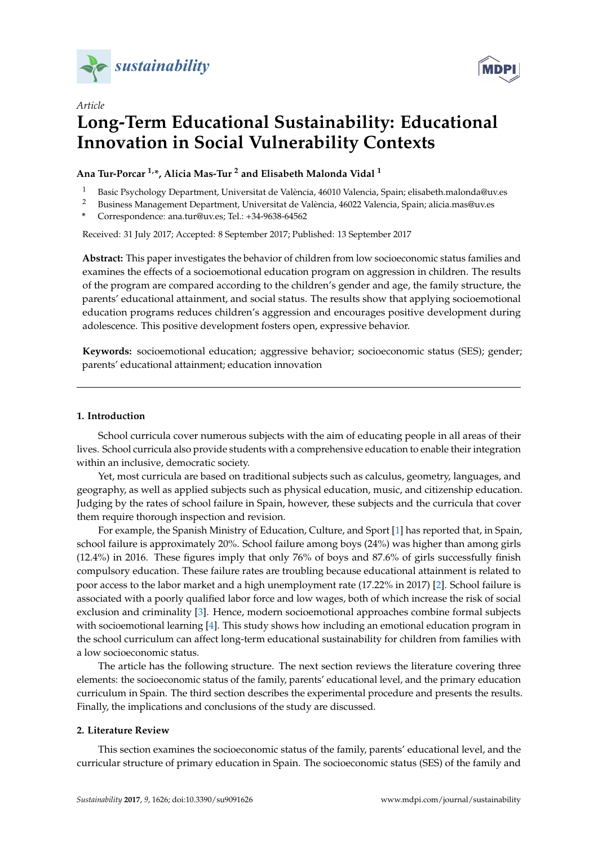



# *Article* **Long-Term Educational Sustainability: Educational Innovation in Social Vulnerability Contexts**

**Ana Tur-Porcar 1,\*, Alicia Mas-Tur <sup>2</sup> and Elisabeth Malonda Vidal <sup>1</sup>**

- <sup>1</sup> Basic Psychology Department, Universitat de València, 46010 Valencia, Spain; elisabeth.malonda@uv.es
- <sup>2</sup> Business Management Department, Universitat de València, 46022 Valencia, Spain; alicia.mas@uv.es
- **\*** Correspondence: ana.tur@uv.es; Tel.: +34-9638-64562

Received: 31 July 2017; Accepted: 8 September 2017; Published: 13 September 2017

**Abstract:** This paper investigates the behavior of children from low socioeconomic status families and examines the effects of a socioemotional education program on aggression in children. The results of the program are compared according to the children's gender and age, the family structure, the parents' educational attainment, and social status. The results show that applying socioemotional education programs reduces children's aggression and encourages positive development during adolescence. This positive development fosters open, expressive behavior.

**Keywords:** socioemotional education; aggressive behavior; socioeconomic status (SES); gender; parents' educational attainment; education innovation

## **1. Introduction**

School curricula cover numerous subjects with the aim of educating people in all areas of their lives. School curricula also provide students with a comprehensive education to enable their integration within an inclusive, democratic society.

Yet, most curricula are based on traditional subjects such as calculus, geometry, languages, and geography, as well as applied subjects such as physical education, music, and citizenship education. Judging by the rates of school failure in Spain, however, these subjects and the curricula that cover them require thorough inspection and revision.

For example, the Spanish Ministry of Education, Culture, and Sport [\[1\]](#page-7-0) has reported that, in Spain, school failure is approximately 20%. School failure among boys (24%) was higher than among girls (12.4%) in 2016. These figures imply that only 76% of boys and 87.6% of girls successfully finish compulsory education. These failure rates are troubling because educational attainment is related to poor access to the labor market and a high unemployment rate (17.22% in 2017) [\[2\]](#page-7-1). School failure is associated with a poorly qualified labor force and low wages, both of which increase the risk of social exclusion and criminality [\[3\]](#page-7-2). Hence, modern socioemotional approaches combine formal subjects with socioemotional learning [\[4\]](#page-8-0). This study shows how including an emotional education program in the school curriculum can affect long-term educational sustainability for children from families with a low socioeconomic status.

The article has the following structure. The next section reviews the literature covering three elements: the socioeconomic status of the family, parents' educational level, and the primary education curriculum in Spain. The third section describes the experimental procedure and presents the results. Finally, the implications and conclusions of the study are discussed.

# **2. Literature Review**

This section examines the socioeconomic status of the family, parents' educational level, and the curricular structure of primary education in Spain. The socioeconomic status (SES) of the family and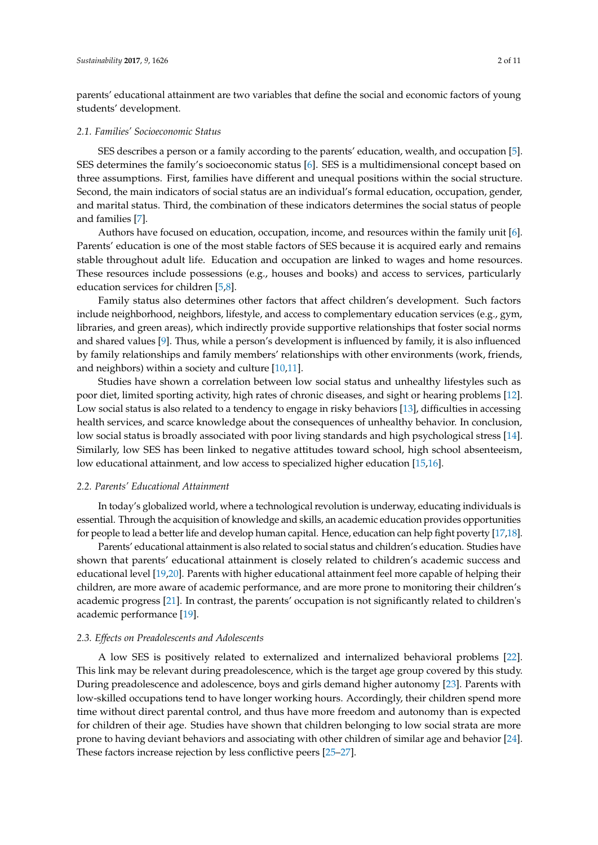parents' educational attainment are two variables that define the social and economic factors of young students' development.

#### *2.1. Families' Socioeconomic Status*

SES describes a person or a family according to the parents' education, wealth, and occupation [\[5\]](#page-8-1). SES determines the family's socioeconomic status [\[6\]](#page-8-2). SES is a multidimensional concept based on three assumptions. First, families have different and unequal positions within the social structure. Second, the main indicators of social status are an individual's formal education, occupation, gender, and marital status. Third, the combination of these indicators determines the social status of people and families [\[7\]](#page-8-3).

Authors have focused on education, occupation, income, and resources within the family unit [\[6\]](#page-8-2). Parents' education is one of the most stable factors of SES because it is acquired early and remains stable throughout adult life. Education and occupation are linked to wages and home resources. These resources include possessions (e.g., houses and books) and access to services, particularly education services for children [\[5](#page-8-1)[,8\]](#page-8-4).

Family status also determines other factors that affect children's development. Such factors include neighborhood, neighbors, lifestyle, and access to complementary education services (e.g., gym, libraries, and green areas), which indirectly provide supportive relationships that foster social norms and shared values [\[9\]](#page-8-5). Thus, while a person's development is influenced by family, it is also influenced by family relationships and family members' relationships with other environments (work, friends, and neighbors) within a society and culture [\[10,](#page-8-6)[11\]](#page-8-7).

Studies have shown a correlation between low social status and unhealthy lifestyles such as poor diet, limited sporting activity, high rates of chronic diseases, and sight or hearing problems [\[12\]](#page-8-8). Low social status is also related to a tendency to engage in risky behaviors [\[13\]](#page-8-9), difficulties in accessing health services, and scarce knowledge about the consequences of unhealthy behavior. In conclusion, low social status is broadly associated with poor living standards and high psychological stress [\[14\]](#page-8-10). Similarly, low SES has been linked to negative attitudes toward school, high school absenteeism, low educational attainment, and low access to specialized higher education [\[15,](#page-8-11)[16\]](#page-8-12).

#### *2.2. Parents' Educational Attainment*

In today's globalized world, where a technological revolution is underway, educating individuals is essential. Through the acquisition of knowledge and skills, an academic education provides opportunities for people to lead a better life and develop human capital. Hence, education can help fight poverty [\[17](#page-8-13)[,18\]](#page-8-14).

Parents' educational attainment is also related to social status and children's education. Studies have shown that parents' educational attainment is closely related to children's academic success and educational level [\[19](#page-8-15)[,20\]](#page-8-16). Parents with higher educational attainment feel more capable of helping their children, are more aware of academic performance, and are more prone to monitoring their children's academic progress [\[21\]](#page-8-17). In contrast, the parents' occupation is not significantly related to children's academic performance [\[19\]](#page-8-15).

#### *2.3. Effects on Preadolescents and Adolescents*

A low SES is positively related to externalized and internalized behavioral problems [\[22\]](#page-8-18). This link may be relevant during preadolescence, which is the target age group covered by this study. During preadolescence and adolescence, boys and girls demand higher autonomy [\[23\]](#page-8-19). Parents with low-skilled occupations tend to have longer working hours. Accordingly, their children spend more time without direct parental control, and thus have more freedom and autonomy than is expected for children of their age. Studies have shown that children belonging to low social strata are more prone to having deviant behaviors and associating with other children of similar age and behavior [\[24\]](#page-8-20). These factors increase rejection by less conflictive peers [\[25](#page-8-21)[–27\]](#page-9-0).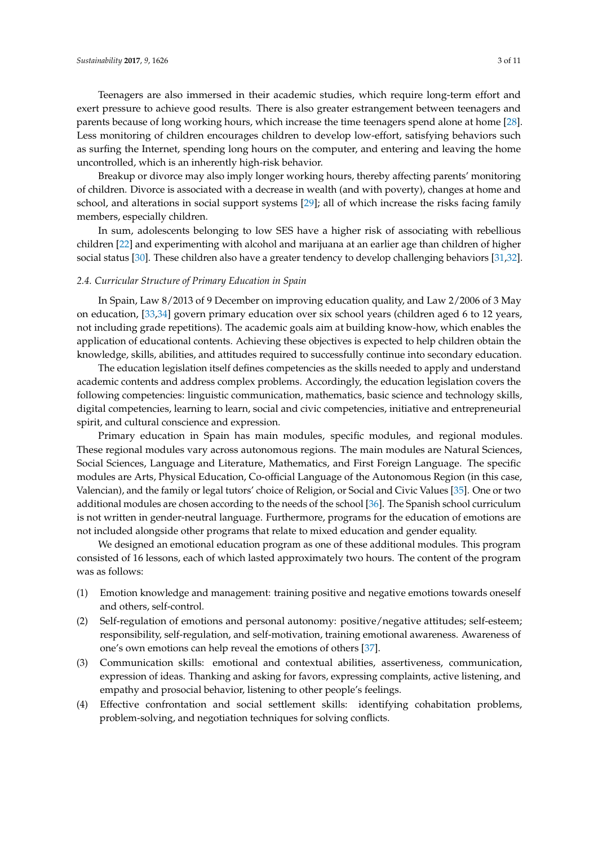Teenagers are also immersed in their academic studies, which require long-term effort and exert pressure to achieve good results. There is also greater estrangement between teenagers and parents because of long working hours, which increase the time teenagers spend alone at home [\[28\]](#page-9-1). Less monitoring of children encourages children to develop low-effort, satisfying behaviors such as surfing the Internet, spending long hours on the computer, and entering and leaving the home uncontrolled, which is an inherently high-risk behavior.

Breakup or divorce may also imply longer working hours, thereby affecting parents' monitoring of children. Divorce is associated with a decrease in wealth (and with poverty), changes at home and school, and alterations in social support systems [\[29\]](#page-9-2); all of which increase the risks facing family members, especially children.

In sum, adolescents belonging to low SES have a higher risk of associating with rebellious children [\[22\]](#page-8-18) and experimenting with alcohol and marijuana at an earlier age than children of higher social status [\[30\]](#page-9-3). These children also have a greater tendency to develop challenging behaviors [\[31](#page-9-4)[,32\]](#page-9-5).

## *2.4. Curricular Structure of Primary Education in Spain*

In Spain, Law 8/2013 of 9 December on improving education quality, and Law 2/2006 of 3 May on education, [\[33](#page-9-6)[,34\]](#page-9-7) govern primary education over six school years (children aged 6 to 12 years, not including grade repetitions). The academic goals aim at building know-how, which enables the application of educational contents. Achieving these objectives is expected to help children obtain the knowledge, skills, abilities, and attitudes required to successfully continue into secondary education.

The education legislation itself defines competencies as the skills needed to apply and understand academic contents and address complex problems. Accordingly, the education legislation covers the following competencies: linguistic communication, mathematics, basic science and technology skills, digital competencies, learning to learn, social and civic competencies, initiative and entrepreneurial spirit, and cultural conscience and expression.

Primary education in Spain has main modules, specific modules, and regional modules. These regional modules vary across autonomous regions. The main modules are Natural Sciences, Social Sciences, Language and Literature, Mathematics, and First Foreign Language. The specific modules are Arts, Physical Education, Co-official Language of the Autonomous Region (in this case, Valencian), and the family or legal tutors' choice of Religion, or Social and Civic Values [\[35\]](#page-9-8). One or two additional modules are chosen according to the needs of the school [\[36\]](#page-9-9). The Spanish school curriculum is not written in gender-neutral language. Furthermore, programs for the education of emotions are not included alongside other programs that relate to mixed education and gender equality.

We designed an emotional education program as one of these additional modules. This program consisted of 16 lessons, each of which lasted approximately two hours. The content of the program was as follows:

- (1) Emotion knowledge and management: training positive and negative emotions towards oneself and others, self-control.
- (2) Self-regulation of emotions and personal autonomy: positive/negative attitudes; self-esteem; responsibility, self-regulation, and self-motivation, training emotional awareness. Awareness of one's own emotions can help reveal the emotions of others [\[37\]](#page-9-10).
- (3) Communication skills: emotional and contextual abilities, assertiveness, communication, expression of ideas. Thanking and asking for favors, expressing complaints, active listening, and empathy and prosocial behavior, listening to other people's feelings.
- (4) Effective confrontation and social settlement skills: identifying cohabitation problems, problem-solving, and negotiation techniques for solving conflicts.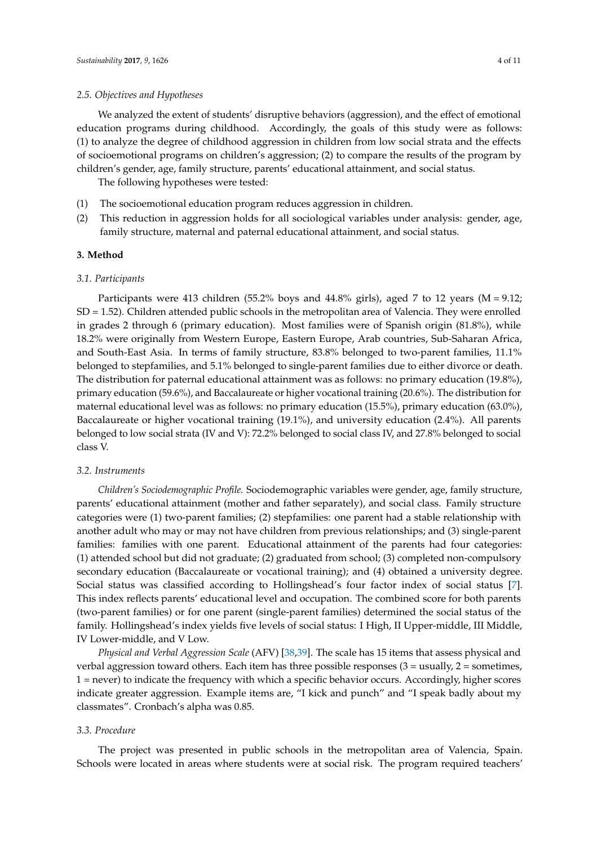We analyzed the extent of students' disruptive behaviors (aggression), and the effect of emotional education programs during childhood. Accordingly, the goals of this study were as follows: (1) to analyze the degree of childhood aggression in children from low social strata and the effects of socioemotional programs on children's aggression; (2) to compare the results of the program by children's gender, age, family structure, parents' educational attainment, and social status.

The following hypotheses were tested:

- (1) The socioemotional education program reduces aggression in children.
- (2) This reduction in aggression holds for all sociological variables under analysis: gender, age, family structure, maternal and paternal educational attainment, and social status.

#### **3. Method**

## *3.1. Participants*

Participants were 413 children (55.2% boys and 44.8% girls), aged 7 to 12 years ( $M = 9.12$ ; SD = 1.52). Children attended public schools in the metropolitan area of Valencia. They were enrolled in grades 2 through 6 (primary education). Most families were of Spanish origin (81.8%), while 18.2% were originally from Western Europe, Eastern Europe, Arab countries, Sub-Saharan Africa, and South-East Asia. In terms of family structure, 83.8% belonged to two-parent families, 11.1% belonged to stepfamilies, and 5.1% belonged to single-parent families due to either divorce or death. The distribution for paternal educational attainment was as follows: no primary education (19.8%), primary education (59.6%), and Baccalaureate or higher vocational training (20.6%). The distribution for maternal educational level was as follows: no primary education (15.5%), primary education (63.0%), Baccalaureate or higher vocational training (19.1%), and university education (2.4%). All parents belonged to low social strata (IV and V): 72.2% belonged to social class IV, and 27.8% belonged to social class V.

## *3.2. Instruments*

*Children's Sociodemographic Profile.* Sociodemographic variables were gender, age, family structure, parents' educational attainment (mother and father separately), and social class. Family structure categories were (1) two-parent families; (2) stepfamilies: one parent had a stable relationship with another adult who may or may not have children from previous relationships; and (3) single-parent families: families with one parent. Educational attainment of the parents had four categories: (1) attended school but did not graduate; (2) graduated from school; (3) completed non-compulsory secondary education (Baccalaureate or vocational training); and (4) obtained a university degree. Social status was classified according to Hollingshead's four factor index of social status [\[7\]](#page-8-3). This index reflects parents' educational level and occupation. The combined score for both parents (two-parent families) or for one parent (single-parent families) determined the social status of the family. Hollingshead's index yields five levels of social status: I High, II Upper-middle, III Middle, IV Lower-middle, and V Low.

*Physical and Verbal Aggression Scale* (AFV) [\[38](#page-9-11)[,39\]](#page-9-12). The scale has 15 items that assess physical and verbal aggression toward others. Each item has three possible responses  $(3 =$  usually,  $2 =$  sometimes, 1 = never) to indicate the frequency with which a specific behavior occurs. Accordingly, higher scores indicate greater aggression. Example items are, "I kick and punch" and "I speak badly about my classmates". Cronbach's alpha was 0.85.

# *3.3. Procedure*

The project was presented in public schools in the metropolitan area of Valencia, Spain. Schools were located in areas where students were at social risk. The program required teachers'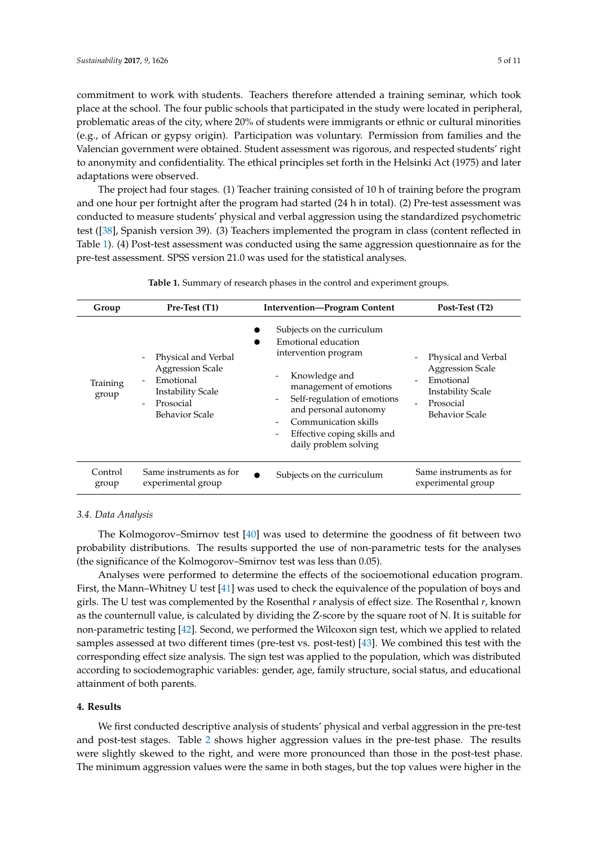commitment to work with students. Teachers therefore attended a training seminar, which took place at the school. The four public schools that participated in the study were located in peripheral, problematic areas of the city, where 20% of students were immigrants or ethnic or cultural minorities (e.g., of African or gypsy origin). Participation was voluntary. Permission from families and the Valencian government were obtained. Student assessment was rigorous, and respected students' right to anonymity and confidentiality. The ethical principles set forth in the Helsinki Act (1975) and later adaptations were observed.

The project had four stages. (1) Teacher training consisted of 10 h of training before the program and one hour per fortnight after the program had started (24 h in total). (2) Pre-test assessment was conducted to measure students' physical and verbal aggression using the standardized psychometric test ([\[38\]](#page-9-11), Spanish version 39). (3) Teachers implemented the program in class (content reflected in Table [1\)](#page-4-0). (4) Post-test assessment was conducted using the same aggression questionnaire as for the pre-test assessment. SPSS version 21.0 was used for the statistical analyses.

<span id="page-4-0"></span>

| Group             | Pre-Test (T1)                                                                                                                 | <b>Intervention-Program Content</b>                                                                                                                                                                                                                                                                                                                  | Post-Test (T2)                                                                                                                |
|-------------------|-------------------------------------------------------------------------------------------------------------------------------|------------------------------------------------------------------------------------------------------------------------------------------------------------------------------------------------------------------------------------------------------------------------------------------------------------------------------------------------------|-------------------------------------------------------------------------------------------------------------------------------|
| Training<br>group | Physical and Verbal<br><b>Aggression Scale</b><br>Emotional<br><b>Instability Scale</b><br>Prosocial<br><b>Behavior Scale</b> | Subjects on the curriculum<br>Emotional education<br>intervention program<br>Knowledge and<br>$\overline{\phantom{a}}$<br>management of emotions<br>Self-regulation of emotions<br>$\overline{\phantom{a}}$<br>and personal autonomy<br>Communication skills<br>Effective coping skills and<br>$\qquad \qquad \blacksquare$<br>daily problem solving | Physical and Verbal<br><b>Aggression Scale</b><br>Emotional<br><b>Instability Scale</b><br>Prosocial<br><b>Behavior Scale</b> |
| Control<br>group  | Same instruments as for<br>experimental group                                                                                 | Subjects on the curriculum                                                                                                                                                                                                                                                                                                                           | Same instruments as for<br>experimental group                                                                                 |

**Table 1.** Summary of research phases in the control and experiment groups.

#### *3.4. Data Analysis*

The Kolmogorov–Smirnov test [\[40\]](#page-9-13) was used to determine the goodness of fit between two probability distributions. The results supported the use of non-parametric tests for the analyses (the significance of the Kolmogorov–Smirnov test was less than 0.05).

Analyses were performed to determine the effects of the socioemotional education program. First, the Mann–Whitney U test [\[41\]](#page-9-14) was used to check the equivalence of the population of boys and girls. The U test was complemented by the Rosenthal *r* analysis of effect size. The Rosenthal *r*, known as the counternull value, is calculated by dividing the Z-score by the square root of N. It is suitable for non-parametric testing [\[42\]](#page-9-15). Second, we performed the Wilcoxon sign test, which we applied to related samples assessed at two different times (pre-test vs. post-test) [\[43\]](#page-9-16). We combined this test with the corresponding effect size analysis. The sign test was applied to the population, which was distributed according to sociodemographic variables: gender, age, family structure, social status, and educational attainment of both parents.

# **4. Results**

We first conducted descriptive analysis of students' physical and verbal aggression in the pre-test and post-test stages. Table [2](#page-5-0) shows higher aggression values in the pre-test phase. The results were slightly skewed to the right, and were more pronounced than those in the post-test phase. The minimum aggression values were the same in both stages, but the top values were higher in the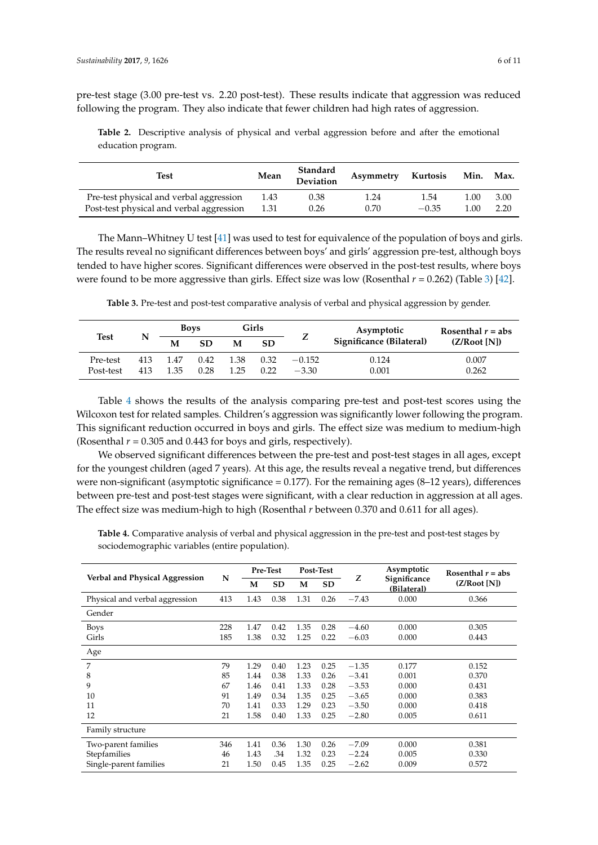pre-test stage (3.00 pre-test vs. 2.20 post-test). These results indicate that aggression was reduced following the program. They also indicate that fewer children had high rates of aggression.

<span id="page-5-0"></span>**Table 2.** Descriptive analysis of physical and verbal aggression before and after the emotional education program.

| Test                                     | Mean | Standard<br>Deviation | Asymmetry | Kurtosis | Min.  | Max. |
|------------------------------------------|------|-----------------------|-----------|----------|-------|------|
| Pre-test physical and verbal aggression  | 1.43 | 0.38                  | 1.24      | 1.54     | L.OO  | 3.00 |
| Post-test physical and verbal aggression | 1.31 | 0.26                  | 0.70      | $-0.35$  | L.OO. | 2.20 |

The Mann–Whitney U test [\[41\]](#page-9-14) was used to test for equivalence of the population of boys and girls. The results reveal no significant differences between boys' and girls' aggression pre-test, although boys tended to have higher scores. Significant differences were observed in the post-test results, where boys were found to be more aggressive than girls. Effect size was low (Rosenthal  $r = 0.262$ ) (Table [3\)](#page-5-1) [\[42\]](#page-9-15).

**Table 3.** Pre-test and post-test comparative analysis of verbal and physical aggression by gender.

<span id="page-5-1"></span>

|             |     | <b>Boys</b> |      | Girls |           |          | Asymptotic               | Rosenthal $r = abs$ |  |
|-------------|-----|-------------|------|-------|-----------|----------|--------------------------|---------------------|--|
| <b>Test</b> | N   | M           | SD   | M     | <b>SD</b> | ∠        | Significance (Bilateral) | (Z/Root[N])         |  |
| Pre-test    | 413 | 1.47        | 0.42 | 1.38  | 0.32      | $-0.152$ | 0.124                    | 0.007               |  |
| Post-test   | 413 | 1.35        | 0.28 | 1 25  | 0.22      | $-3.30$  | 0.001                    | 0.262               |  |

Table [4](#page-6-0) shows the results of the analysis comparing pre-test and post-test scores using the Wilcoxon test for related samples. Children's aggression was significantly lower following the program. This significant reduction occurred in boys and girls. The effect size was medium to medium-high (Rosenthal  $r = 0.305$  and 0.443 for boys and girls, respectively).

We observed significant differences between the pre-test and post-test stages in all ages, except for the youngest children (aged 7 years). At this age, the results reveal a negative trend, but differences were non-significant (asymptotic significance  $= 0.177$ ). For the remaining ages  $(8-12 \text{ years})$ , differences between pre-test and post-test stages were significant, with a clear reduction in aggression at all ages. The effect size was medium-high to high (Rosenthal *r* between 0.370 and 0.611 for all ages).

**Verbal and Physical Aggression N Pre-Test Post-Test** *Z* **Asymptotic Significance (Bilateral) Rosenthal** *r* **= abs** M SD M SD  $\angle$  **Significance** (Z/Root [N]) Physical and verbal aggression 413 1.43 0.38 1.31 0.26 −7.43 0.000 0.366 Gender Boys 228 1.47 0.42 1.35 0.28 −4.60 0.000 0.305 Girls 185 1.38 0.32 1.25 0.22 −6.03 0.000 0.443 Age 7 79 1.29 0.40 1.23 0.25 −1.35 0.177 0.152 8 85 1.44 0.38 1.33 0.26 −3.41 0.001 0.370 9 67 1.46 0.41 1.33 0.28 −3.53 0.000 0.431 10 91 1.49 0.34 1.35 0.25 −3.65 0.000 0.383 11 70 1.41 0.33 1.29 0.23 −3.50 0.000 0.418 12 21 1.58 0.40 1.33 0.25 −2.80 0.005 0.611 Family structure Two-parent families 346 1.41 0.36 1.30 0.26 −7.09 0.000 0.381<br>Stepfamilies 46 1.43 .34 1.32 0.23 −2.24 0.005 0.330 Stepfamilies 46 1.43 .34 1.32 0.23 −2.24 0.005 0.330 Single-parent families 21 1.50 0.45 1.35 0.25 −2.62 0.009 0.572

**Table 4.** Comparative analysis of verbal and physical aggression in the pre-test and post-test stages by sociodemographic variables (entire population).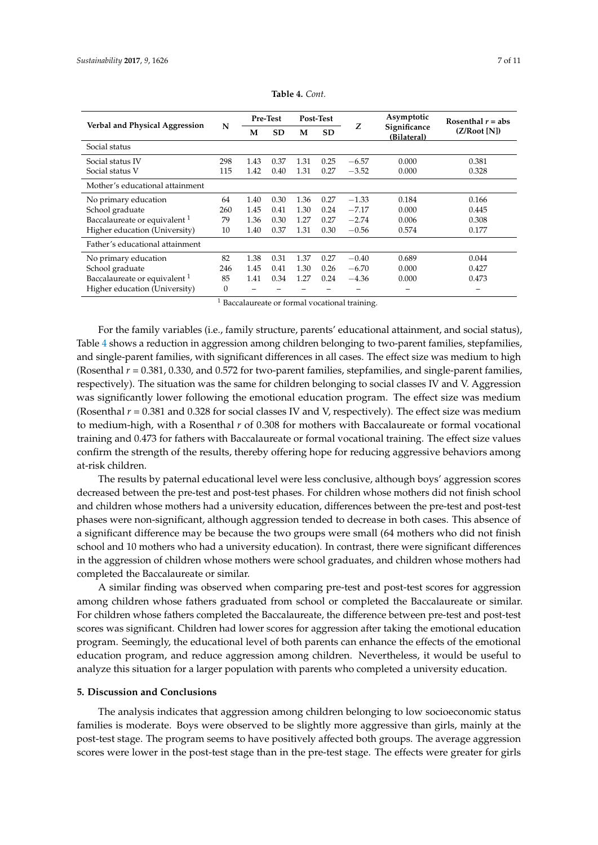<span id="page-6-0"></span>

|                                          | N                      | <b>Pre-Test</b> |           | Post-Test |           |         | Asymptotic                  | Rosenthal $r = abs$ |  |
|------------------------------------------|------------------------|-----------------|-----------|-----------|-----------|---------|-----------------------------|---------------------|--|
| Verbal and Physical Aggression           |                        | M               | <b>SD</b> | M         | <b>SD</b> | Z       | Significance<br>(Bilateral) | (Z/Root[N])         |  |
| Social status                            |                        |                 |           |           |           |         |                             |                     |  |
| Social status IV                         | 298                    | 1.43            | 0.37      | 1.31      | 0.25      | $-6.57$ | 0.000                       | 0.381               |  |
| Social status V                          | 115                    | 1.42            | 0.40      | 1.31      | 0.27      | $-3.52$ | 0.000                       | 0.328               |  |
| Mother's educational attainment          |                        |                 |           |           |           |         |                             |                     |  |
| No primary education                     | 64                     | 1.40            | 0.30      | 1.36      | 0.27      | $-1.33$ | 0.184                       | 0.166               |  |
| School graduate                          | 260                    | 1.45            | 0.41      | 1.30      | 0.24      | $-7.17$ | 0.000                       | 0.445               |  |
| Baccalaureate or equivalent <sup>1</sup> | 79                     | 1.36            | 0.30      | 1.27      | 0.27      | $-2.74$ | 0.006                       | 0.308               |  |
| Higher education (University)            | 10                     | 1.40            | 0.37      | 1.31      | 0.30      | $-0.56$ | 0.574                       | 0.177               |  |
| Father's educational attainment          |                        |                 |           |           |           |         |                             |                     |  |
| No primary education                     | 82                     | 1.38            | 0.31      | 1.37      | 0.27      | $-0.40$ | 0.689                       | 0.044               |  |
| School graduate                          | 246                    | 1.45            | 0.41      | 1.30      | 0.26      | $-6.70$ | 0.000                       | 0.427               |  |
| Baccalaureate or equivalent <sup>1</sup> | 85                     | 1.41            | 0.34      | 1.27      | 0.24      | $-4.36$ | 0.000                       | 0.473               |  |
| Higher education (University)            | $\theta$<br><b>ALC</b> |                 |           |           |           |         |                             |                     |  |

| Table 4. Cont. |  |
|----------------|--|
|----------------|--|

<sup>1</sup> Baccalaureate or formal vocational training.

For the family variables (i.e., family structure, parents' educational attainment, and social status), Table [4](#page-6-0) shows a reduction in aggression among children belonging to two-parent families, stepfamilies, and single-parent families, with significant differences in all cases. The effect size was medium to high (Rosenthal *r* = 0.381, 0.330, and 0.572 for two-parent families, stepfamilies, and single-parent families, respectively). The situation was the same for children belonging to social classes IV and V. Aggression was significantly lower following the emotional education program. The effect size was medium (Rosenthal  $r = 0.381$  and 0.328 for social classes IV and V, respectively). The effect size was medium to medium-high, with a Rosenthal *r* of 0.308 for mothers with Baccalaureate or formal vocational training and 0.473 for fathers with Baccalaureate or formal vocational training. The effect size values confirm the strength of the results, thereby offering hope for reducing aggressive behaviors among at-risk children.

The results by paternal educational level were less conclusive, although boys' aggression scores decreased between the pre-test and post-test phases. For children whose mothers did not finish school and children whose mothers had a university education, differences between the pre-test and post-test phases were non-significant, although aggression tended to decrease in both cases. This absence of a significant difference may be because the two groups were small (64 mothers who did not finish school and 10 mothers who had a university education). In contrast, there were significant differences in the aggression of children whose mothers were school graduates, and children whose mothers had completed the Baccalaureate or similar.

A similar finding was observed when comparing pre-test and post-test scores for aggression among children whose fathers graduated from school or completed the Baccalaureate or similar. For children whose fathers completed the Baccalaureate, the difference between pre-test and post-test scores was significant. Children had lower scores for aggression after taking the emotional education program. Seemingly, the educational level of both parents can enhance the effects of the emotional education program, and reduce aggression among children. Nevertheless, it would be useful to analyze this situation for a larger population with parents who completed a university education.

#### **5. Discussion and Conclusions**

The analysis indicates that aggression among children belonging to low socioeconomic status families is moderate. Boys were observed to be slightly more aggressive than girls, mainly at the post-test stage. The program seems to have positively affected both groups. The average aggression scores were lower in the post-test stage than in the pre-test stage. The effects were greater for girls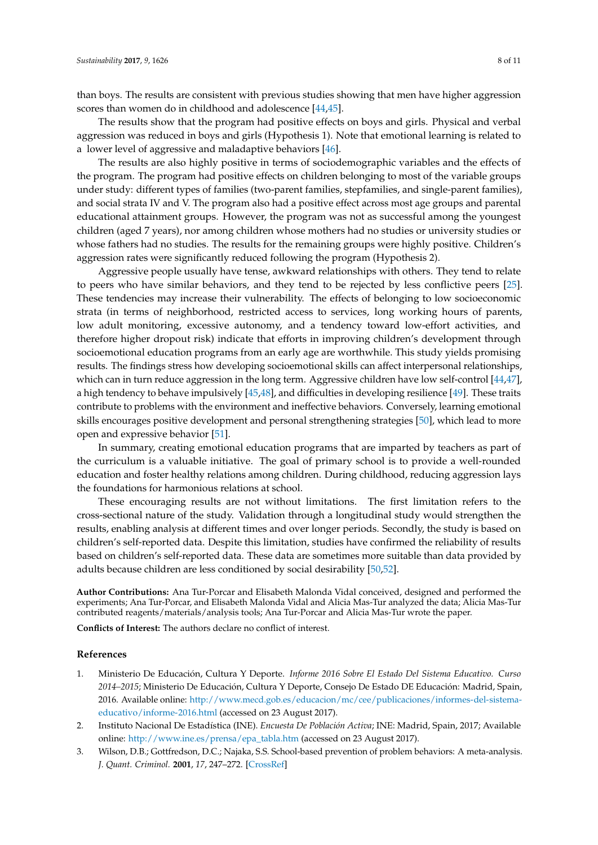than boys. The results are consistent with previous studies showing that men have higher aggression scores than women do in childhood and adolescence [\[44,](#page-9-17)[45\]](#page-9-18).

The results show that the program had positive effects on boys and girls. Physical and verbal aggression was reduced in boys and girls (Hypothesis 1). Note that emotional learning is related to a lower level of aggressive and maladaptive behaviors [\[46\]](#page-9-19).

The results are also highly positive in terms of sociodemographic variables and the effects of the program. The program had positive effects on children belonging to most of the variable groups under study: different types of families (two-parent families, stepfamilies, and single-parent families), and social strata IV and V. The program also had a positive effect across most age groups and parental educational attainment groups. However, the program was not as successful among the youngest children (aged 7 years), nor among children whose mothers had no studies or university studies or whose fathers had no studies. The results for the remaining groups were highly positive. Children's aggression rates were significantly reduced following the program (Hypothesis 2).

Aggressive people usually have tense, awkward relationships with others. They tend to relate to peers who have similar behaviors, and they tend to be rejected by less conflictive peers [\[25\]](#page-8-21). These tendencies may increase their vulnerability. The effects of belonging to low socioeconomic strata (in terms of neighborhood, restricted access to services, long working hours of parents, low adult monitoring, excessive autonomy, and a tendency toward low-effort activities, and therefore higher dropout risk) indicate that efforts in improving children's development through socioemotional education programs from an early age are worthwhile. This study yields promising results. The findings stress how developing socioemotional skills can affect interpersonal relationships, which can in turn reduce aggression in the long term. Aggressive children have low self-control [\[44](#page-9-17)[,47\]](#page-9-20), a high tendency to behave impulsively [\[45,](#page-9-18)[48\]](#page-9-21), and difficulties in developing resilience [\[49\]](#page-10-0). These traits contribute to problems with the environment and ineffective behaviors. Conversely, learning emotional skills encourages positive development and personal strengthening strategies [\[50\]](#page-10-1), which lead to more open and expressive behavior [\[51\]](#page-10-2).

In summary, creating emotional education programs that are imparted by teachers as part of the curriculum is a valuable initiative. The goal of primary school is to provide a well-rounded education and foster healthy relations among children. During childhood, reducing aggression lays the foundations for harmonious relations at school.

These encouraging results are not without limitations. The first limitation refers to the cross-sectional nature of the study. Validation through a longitudinal study would strengthen the results, enabling analysis at different times and over longer periods. Secondly, the study is based on children's self-reported data. Despite this limitation, studies have confirmed the reliability of results based on children's self-reported data. These data are sometimes more suitable than data provided by adults because children are less conditioned by social desirability [\[50,](#page-10-1)[52\]](#page-10-3).

**Author Contributions:** Ana Tur-Porcar and Elisabeth Malonda Vidal conceived, designed and performed the experiments; Ana Tur-Porcar, and Elisabeth Malonda Vidal and Alicia Mas-Tur analyzed the data; Alicia Mas-Tur contributed reagents/materials/analysis tools; Ana Tur-Porcar and Alicia Mas-Tur wrote the paper.

**Conflicts of Interest:** The authors declare no conflict of interest.

## **References**

- <span id="page-7-0"></span>1. Ministerio De Educación, Cultura Y Deporte. *Informe 2016 Sobre El Estado Del Sistema Educativo. Curso 2014–2015*; Ministerio De Educación, Cultura Y Deporte, Consejo De Estado DE Educación: Madrid, Spain, 2016. Available online: [http://www.mecd.gob.es/educacion/mc/cee/publicaciones/informes-del-sistema](http://www.mecd.gob.es/educacion/mc/cee/publicaciones/informes-del-sistema-educativo/informe-2016.html)[educativo/informe-2016.html](http://www.mecd.gob.es/educacion/mc/cee/publicaciones/informes-del-sistema-educativo/informe-2016.html) (accessed on 23 August 2017).
- <span id="page-7-1"></span>2. Instituto Nacional De Estadística (INE). *Encuesta De Población Activa*; INE: Madrid, Spain, 2017; Available online: [http://www.ine.es/prensa/epa\\_tabla.htm](http://www.ine.es/prensa/epa_tabla.htm) (accessed on 23 August 2017).
- <span id="page-7-2"></span>3. Wilson, D.B.; Gottfredson, D.C.; Najaka, S.S. School-based prevention of problem behaviors: A meta-analysis. *J. Quant. Criminol.* **2001**, *17*, 247–272. [\[CrossRef\]](http://dx.doi.org/10.1023/A:1011050217296)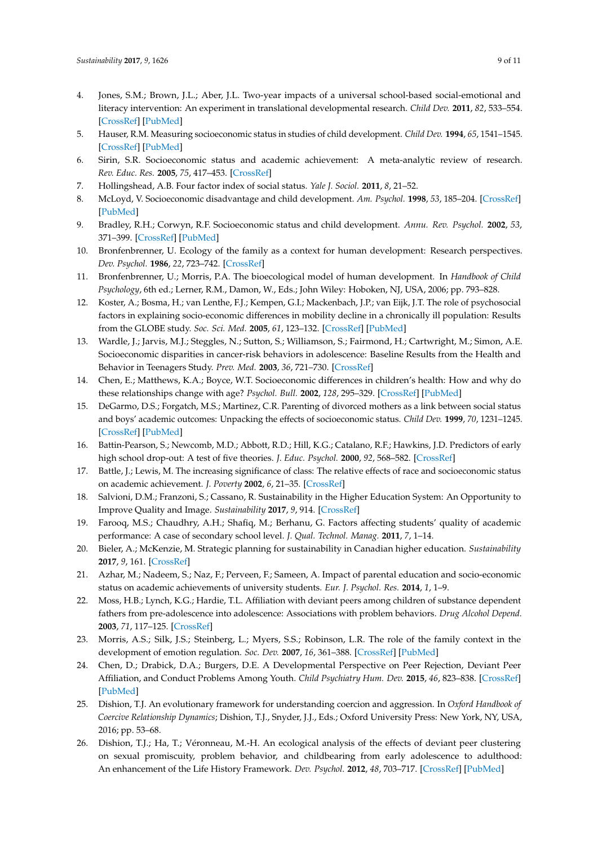- <span id="page-8-0"></span>4. Jones, S.M.; Brown, J.L.; Aber, J.L. Two-year impacts of a universal school-based social-emotional and literacy intervention: An experiment in translational developmental research. *Child Dev.* **2011**, *82*, 533–554. [\[CrossRef\]](http://dx.doi.org/10.1111/j.1467-8624.2010.01560.x) [\[PubMed\]](http://www.ncbi.nlm.nih.gov/pubmed/21410922)
- <span id="page-8-1"></span>5. Hauser, R.M. Measuring socioeconomic status in studies of child development. *Child Dev.* **1994**, *65*, 1541–1545. [\[CrossRef\]](http://dx.doi.org/10.2307/1131279) [\[PubMed\]](http://www.ncbi.nlm.nih.gov/pubmed/7859541)
- <span id="page-8-2"></span>6. Sirin, S.R. Socioeconomic status and academic achievement: A meta-analytic review of research. *Rev. Educ. Res.* **2005**, *75*, 417–453. [\[CrossRef\]](http://dx.doi.org/10.3102/00346543075003417)
- <span id="page-8-3"></span>7. Hollingshead, A.B. Four factor index of social status. *Yale J. Sociol.* **2011**, *8*, 21–52.
- <span id="page-8-4"></span>8. McLoyd, V. Socioeconomic disadvantage and child development. *Am. Psychol.* **1998**, *53*, 185–204. [\[CrossRef\]](http://dx.doi.org/10.1037/0003-066X.53.2.185) [\[PubMed\]](http://www.ncbi.nlm.nih.gov/pubmed/9491747)
- <span id="page-8-5"></span>9. Bradley, R.H.; Corwyn, R.F. Socioeconomic status and child development. *Annu. Rev. Psychol.* **2002**, *53*, 371–399. [\[CrossRef\]](http://dx.doi.org/10.1146/annurev.psych.53.100901.135233) [\[PubMed\]](http://www.ncbi.nlm.nih.gov/pubmed/11752490)
- <span id="page-8-6"></span>10. Bronfenbrenner, U. Ecology of the family as a context for human development: Research perspectives. *Dev. Psychol.* **1986**, *22*, 723–742. [\[CrossRef\]](http://dx.doi.org/10.1037/0012-1649.22.6.723)
- <span id="page-8-7"></span>11. Bronfenbrenner, U.; Morris, P.A. The bioecological model of human development. In *Handbook of Child Psychology*, 6th ed.; Lerner, R.M., Damon, W., Eds.; John Wiley: Hoboken, NJ, USA, 2006; pp. 793–828.
- <span id="page-8-8"></span>12. Koster, A.; Bosma, H.; van Lenthe, F.J.; Kempen, G.I.; Mackenbach, J.P.; van Eijk, J.T. The role of psychosocial factors in explaining socio-economic differences in mobility decline in a chronically ill population: Results from the GLOBE study. *Soc. Sci. Med.* **2005**, *61*, 123–132. [\[CrossRef\]](http://dx.doi.org/10.1016/j.socscimed.2004.11.045) [\[PubMed\]](http://www.ncbi.nlm.nih.gov/pubmed/15847967)
- <span id="page-8-9"></span>13. Wardle, J.; Jarvis, M.J.; Steggles, N.; Sutton, S.; Williamson, S.; Fairmond, H.; Cartwright, M.; Simon, A.E. Socioeconomic disparities in cancer-risk behaviors in adolescence: Baseline Results from the Health and Behavior in Teenagers Study. *Prev. Med.* **2003**, *36*, 721–730. [\[CrossRef\]](http://dx.doi.org/10.1016/S0091-7435(03)00047-1)
- <span id="page-8-10"></span>14. Chen, E.; Matthews, K.A.; Boyce, W.T. Socioeconomic differences in children's health: How and why do these relationships change with age? *Psychol. Bull.* **2002**, *128*, 295–329. [\[CrossRef\]](http://dx.doi.org/10.1037/0033-2909.128.2.295) [\[PubMed\]](http://www.ncbi.nlm.nih.gov/pubmed/11931521)
- <span id="page-8-11"></span>15. DeGarmo, D.S.; Forgatch, M.S.; Martinez, C.R. Parenting of divorced mothers as a link between social status and boys' academic outcomes: Unpacking the effects of socioeconomic status. *Child Dev.* **1999**, *70*, 1231–1245. [\[CrossRef\]](http://dx.doi.org/10.1111/1467-8624.00089) [\[PubMed\]](http://www.ncbi.nlm.nih.gov/pubmed/10546342)
- <span id="page-8-12"></span>16. Battin-Pearson, S.; Newcomb, M.D.; Abbott, R.D.; Hill, K.G.; Catalano, R.F.; Hawkins, J.D. Predictors of early high school drop-out: A test of five theories. *J. Educ. Psychol.* **2000**, *92*, 568–582. [\[CrossRef\]](http://dx.doi.org/10.1037/0022-0663.92.3.568)
- <span id="page-8-13"></span>17. Battle, J.; Lewis, M. The increasing significance of class: The relative effects of race and socioeconomic status on academic achievement. *J. Poverty* **2002**, *6*, 21–35. [\[CrossRef\]](http://dx.doi.org/10.1300/J134v06n02_02)
- <span id="page-8-14"></span>18. Salvioni, D.M.; Franzoni, S.; Cassano, R. Sustainability in the Higher Education System: An Opportunity to Improve Quality and Image. *Sustainability* **2017**, *9*, 914. [\[CrossRef\]](http://dx.doi.org/10.3390/su9060914)
- <span id="page-8-15"></span>19. Farooq, M.S.; Chaudhry, A.H.; Shafiq, M.; Berhanu, G. Factors affecting students' quality of academic performance: A case of secondary school level. *J. Qual. Technol. Manag.* **2011**, *7*, 1–14.
- <span id="page-8-16"></span>20. Bieler, A.; McKenzie, M. Strategic planning for sustainability in Canadian higher education. *Sustainability* **2017**, *9*, 161. [\[CrossRef\]](http://dx.doi.org/10.3390/su9020161)
- <span id="page-8-17"></span>21. Azhar, M.; Nadeem, S.; Naz, F.; Perveen, F.; Sameen, A. Impact of parental education and socio-economic status on academic achievements of university students. *Eur. J. Psychol. Res.* **2014**, *1*, 1–9.
- <span id="page-8-18"></span>22. Moss, H.B.; Lynch, K.G.; Hardie, T.L. Affiliation with deviant peers among children of substance dependent fathers from pre-adolescence into adolescence: Associations with problem behaviors. *Drug Alcohol Depend.* **2003**, *71*, 117–125. [\[CrossRef\]](http://dx.doi.org/10.1016/S0376-8716(03)00073-5)
- <span id="page-8-19"></span>23. Morris, A.S.; Silk, J.S.; Steinberg, L.; Myers, S.S.; Robinson, L.R. The role of the family context in the development of emotion regulation. *Soc. Dev.* **2007**, *16*, 361–388. [\[CrossRef\]](http://dx.doi.org/10.1111/j.1467-9507.2007.00389.x) [\[PubMed\]](http://www.ncbi.nlm.nih.gov/pubmed/19756175)
- <span id="page-8-20"></span>24. Chen, D.; Drabick, D.A.; Burgers, D.E. A Developmental Perspective on Peer Rejection, Deviant Peer Affiliation, and Conduct Problems Among Youth. *Child Psychiatry Hum. Dev.* **2015**, *46*, 823–838. [\[CrossRef\]](http://dx.doi.org/10.1007/s10578-014-0522-y) [\[PubMed\]](http://www.ncbi.nlm.nih.gov/pubmed/25410430)
- <span id="page-8-21"></span>25. Dishion, T.J. An evolutionary framework for understanding coercion and aggression. In *Oxford Handbook of Coercive Relationship Dynamics*; Dishion, T.J., Snyder, J.J., Eds.; Oxford University Press: New York, NY, USA, 2016; pp. 53–68.
- 26. Dishion, T.J.; Ha, T.; Véronneau, M.-H. An ecological analysis of the effects of deviant peer clustering on sexual promiscuity, problem behavior, and childbearing from early adolescence to adulthood: An enhancement of the Life History Framework. *Dev. Psychol.* **2012**, *48*, 703–717. [\[CrossRef\]](http://dx.doi.org/10.1037/a0027304) [\[PubMed\]](http://www.ncbi.nlm.nih.gov/pubmed/22409765)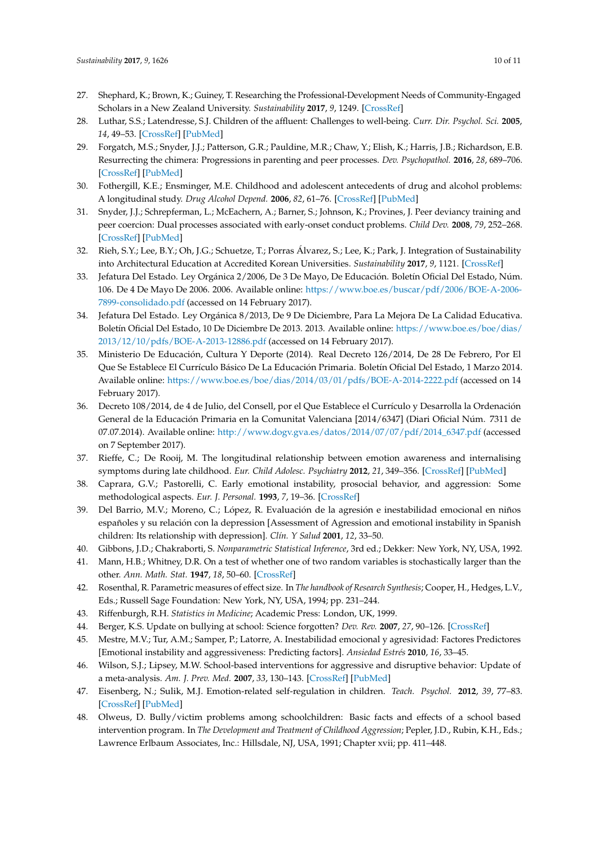- <span id="page-9-0"></span>27. Shephard, K.; Brown, K.; Guiney, T. Researching the Professional-Development Needs of Community-Engaged Scholars in a New Zealand University. *Sustainability* **2017**, *9*, 1249. [\[CrossRef\]](http://dx.doi.org/10.3390/su9071249)
- <span id="page-9-1"></span>28. Luthar, S.S.; Latendresse, S.J. Children of the affluent: Challenges to well-being. *Curr. Dir. Psychol. Sci.* **2005**, *14*, 49–53. [\[CrossRef\]](http://dx.doi.org/10.1111/j.0963-7214.2005.00333.x) [\[PubMed\]](http://www.ncbi.nlm.nih.gov/pubmed/17710193)
- <span id="page-9-2"></span>29. Forgatch, M.S.; Snyder, J.J.; Patterson, G.R.; Pauldine, M.R.; Chaw, Y.; Elish, K.; Harris, J.B.; Richardson, E.B. Resurrecting the chimera: Progressions in parenting and peer processes. *Dev. Psychopathol.* **2016**, *28*, 689–706. [\[CrossRef\]](http://dx.doi.org/10.1017/S0954579416000250) [\[PubMed\]](http://www.ncbi.nlm.nih.gov/pubmed/27427800)
- <span id="page-9-3"></span>30. Fothergill, K.E.; Ensminger, M.E. Childhood and adolescent antecedents of drug and alcohol problems: A longitudinal study. *Drug Alcohol Depend.* **2006**, *82*, 61–76. [\[CrossRef\]](http://dx.doi.org/10.1016/j.drugalcdep.2005.08.009) [\[PubMed\]](http://www.ncbi.nlm.nih.gov/pubmed/16150555)
- <span id="page-9-4"></span>31. Snyder, J.J.; Schrepferman, L.; McEachern, A.; Barner, S.; Johnson, K.; Provines, J. Peer deviancy training and peer coercion: Dual processes associated with early-onset conduct problems. *Child Dev.* **2008**, *79*, 252–268. [\[CrossRef\]](http://dx.doi.org/10.1111/j.1467-8624.2007.01124.x) [\[PubMed\]](http://www.ncbi.nlm.nih.gov/pubmed/18366422)
- <span id="page-9-5"></span>32. Rieh, S.Y.; Lee, B.Y.; Oh, J.G.; Schuetze, T.; Porras Álvarez, S.; Lee, K.; Park, J. Integration of Sustainability into Architectural Education at Accredited Korean Universities. *Sustainability* **2017**, *9*, 1121. [\[CrossRef\]](http://dx.doi.org/10.3390/su9071121)
- <span id="page-9-6"></span>33. Jefatura Del Estado. Ley Orgánica 2/2006, De 3 De Mayo, De Educación. Boletín Oficial Del Estado, Núm. 106. De 4 De Mayo De 2006. 2006. Available online: [https://www.boe.es/buscar/pdf/2006/BOE-A-2006-](https://www.boe.es/buscar/pdf/2006/BOE-A-2006-7899-consolidado.pdf) [7899-consolidado.pdf](https://www.boe.es/buscar/pdf/2006/BOE-A-2006-7899-consolidado.pdf) (accessed on 14 February 2017).
- <span id="page-9-7"></span>34. Jefatura Del Estado. Ley Orgánica 8/2013, De 9 De Diciembre, Para La Mejora De La Calidad Educativa. Boletín Oficial Del Estado, 10 De Diciembre De 2013. 2013. Available online: [https://www.boe.es/boe/dias/](https://www.boe.es/boe/dias/2013/12/10/pdfs/BOE-A-2013-12886.pdf) [2013/12/10/pdfs/BOE-A-2013-12886.pdf](https://www.boe.es/boe/dias/2013/12/10/pdfs/BOE-A-2013-12886.pdf) (accessed on 14 February 2017).
- <span id="page-9-8"></span>35. Ministerio De Educación, Cultura Y Deporte (2014). Real Decreto 126/2014, De 28 De Febrero, Por El Que Se Establece El Currículo Básico De La Educación Primaria. Boletín Oficial Del Estado, 1 Marzo 2014. Available online: <https://www.boe.es/boe/dias/2014/03/01/pdfs/BOE-A-2014-2222.pdf> (accessed on 14 February 2017).
- <span id="page-9-9"></span>36. Decreto 108/2014, de 4 de Julio, del Consell, por el Que Establece el Currículo y Desarrolla la Ordenación General de la Educación Primaria en la Comunitat Valenciana [2014/6347] (Diari Oficial Núm. 7311 de 07.07.2014). Available online: [http://www.dogv.gva.es/datos/2014/07/07/pdf/2014\\_6347.pdf](http://www.dogv.gva.es/datos/2014/07/07/pdf/2014_6347.pdf) (accessed on 7 September 2017).
- <span id="page-9-10"></span>37. Rieffe, C.; De Rooij, M. The longitudinal relationship between emotion awareness and internalising symptoms during late childhood. *Eur. Child Adolesc. Psychiatry* **2012**, *21*, 349–356. [\[CrossRef\]](http://dx.doi.org/10.1007/s00787-012-0267-8) [\[PubMed\]](http://www.ncbi.nlm.nih.gov/pubmed/22466448)
- <span id="page-9-11"></span>38. Caprara, G.V.; Pastorelli, C. Early emotional instability, prosocial behavior, and aggression: Some methodological aspects. *Eur. J. Personal.* **1993**, *7*, 19–36. [\[CrossRef\]](http://dx.doi.org/10.1002/per.2410070103)
- <span id="page-9-12"></span>39. Del Barrio, M.V.; Moreno, C.; López, R. Evaluación de la agresión e inestabilidad emocional en niños españoles y su relación con la depression [Assessment of Agression and emotional instability in Spanish children: Its relationship with depression]. *Clín. Y Salud* **2001**, *12*, 33–50.
- <span id="page-9-13"></span>40. Gibbons, J.D.; Chakraborti, S. *Nonparametric Statistical Inference*, 3rd ed.; Dekker: New York, NY, USA, 1992.
- <span id="page-9-14"></span>41. Mann, H.B.; Whitney, D.R. On a test of whether one of two random variables is stochastically larger than the other. *Ann. Math. Stat.* **1947**, *18*, 50–60. [\[CrossRef\]](http://dx.doi.org/10.1214/aoms/1177730491)
- <span id="page-9-15"></span>42. Rosenthal, R. Parametric measures of effect size. In *The handbook of Research Synthesis*; Cooper, H., Hedges, L.V., Eds.; Russell Sage Foundation: New York, NY, USA, 1994; pp. 231–244.
- <span id="page-9-17"></span><span id="page-9-16"></span>43. Riffenburgh, R.H. *Statistics in Medicine*; Academic Press: London, UK, 1999.
- <span id="page-9-18"></span>44. Berger, K.S. Update on bullying at school: Science forgotten? *Dev. Rev.* **2007**, *27*, 90–126. [\[CrossRef\]](http://dx.doi.org/10.1016/j.dr.2006.08.002)
- 45. Mestre, M.V.; Tur, A.M.; Samper, P.; Latorre, A. Inestabilidad emocional y agresividad: Factores Predictores [Emotional instability and aggressiveness: Predicting factors]. *Ansiedad Estrés* **2010**, *16*, 33–45.
- <span id="page-9-19"></span>46. Wilson, S.J.; Lipsey, M.W. School-based interventions for aggressive and disruptive behavior: Update of a meta-analysis. *Am. J. Prev. Med.* **2007**, *33*, 130–143. [\[CrossRef\]](http://dx.doi.org/10.1016/j.amepre.2007.04.011) [\[PubMed\]](http://www.ncbi.nlm.nih.gov/pubmed/17675014)
- <span id="page-9-20"></span>47. Eisenberg, N.; Sulik, M.J. Emotion-related self-regulation in children. *Teach. Psychol.* **2012**, *39*, 77–83. [\[CrossRef\]](http://dx.doi.org/10.1177/0098628311430172) [\[PubMed\]](http://www.ncbi.nlm.nih.gov/pubmed/23100854)
- <span id="page-9-21"></span>48. Olweus, D. Bully/victim problems among schoolchildren: Basic facts and effects of a school based intervention program. In *The Development and Treatment of Childhood Aggression*; Pepler, J.D., Rubin, K.H., Eds.; Lawrence Erlbaum Associates, Inc.: Hillsdale, NJ, USA, 1991; Chapter xvii; pp. 411–448.